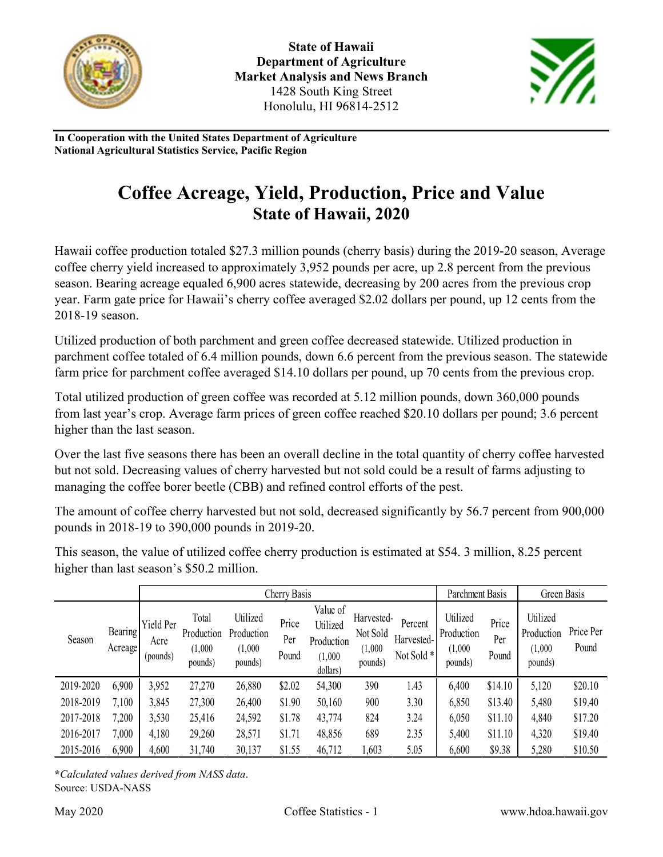



**In Cooperation with the United States Department of Agriculture National Agricultural Statistics Service, Pacific Region**

## **Coffee Acreage, Yield, Production, Price and Value State of Hawaii, 2020**

Hawaii coffee production totaled \$27.3 million pounds (cherry basis) during the 2019-20 season, Average coffee cherry yield increased to approximately 3,952 pounds per acre, up 2.8 percent from the previous season. Bearing acreage equaled 6,900 acres statewide, decreasing by 200 acres from the previous crop year. Farm gate price for Hawaii's cherry coffee averaged \$2.02 dollars per pound, up 12 cents from the 2018-19 season.

Utilized production of both parchment and green coffee decreased statewide. Utilized production in parchment coffee totaled of 6.4 million pounds, down 6.6 percent from the previous season. The statewide farm price for parchment coffee averaged \$14.10 dollars per pound, up 70 cents from the previous crop.

Total utilized production of green coffee was recorded at 5.12 million pounds, down 360,000 pounds from last year's crop. Average farm prices of green coffee reached \$20.10 dollars per pound; 3.6 percent higher than the last season.

Over the last five seasons there has been an overall decline in the total quantity of cherry coffee harvested but not sold. Decreasing values of cherry harvested but not sold could be a result of farms adjusting to managing the coffee borer beetle (CBB) and refined control efforts of the pest.

The amount of coffee cherry harvested but not sold, decreased significantly by 56.7 percent from 900,000 pounds in 2018-19 to 390,000 pounds in 2019-20.

This season, the value of utilized coffee cherry production is estimated at \$54. 3 million, 8.25 percent higher than last season's \$50.2 million.

|           |                     | Cherry Basis                  |                                           |                                              |                       |                                                           |                                              |                                     | Parchment Basis                              |                       | Green Basis                                  |                    |
|-----------|---------------------|-------------------------------|-------------------------------------------|----------------------------------------------|-----------------------|-----------------------------------------------------------|----------------------------------------------|-------------------------------------|----------------------------------------------|-----------------------|----------------------------------------------|--------------------|
| Season    | Bearing!<br>Acreage | Yield Per<br>Acre<br>(pounds) | Total<br>Production<br>(1,000)<br>pounds) | Utilized<br>Production<br>(1,000)<br>pounds) | Price<br>Per<br>Pound | Value of<br>Utilized<br>Production<br>(1,000)<br>dollars) | Harvested-<br>Not Sold<br>(1,000)<br>pounds) | Percent<br>Harvested-<br>Not Sold * | Utilized<br>Production<br>(1,000)<br>pounds) | Price<br>Per<br>Pound | Utilized<br>Production<br>(1,000)<br>pounds) | Price Per<br>Pound |
| 2019-2020 | 6,900               | 3,952                         | 27,270                                    | 26,880                                       | \$2.02                | 54,300                                                    | 390                                          | 1.43                                | 6,400                                        | \$14.10               | 5,120                                        | \$20.10            |
| 2018-2019 | 7,100               | 3,845                         | 27,300                                    | 26,400                                       | \$1.90                | 50,160                                                    | 900                                          | 3.30                                | 6,850                                        | \$13.40               | 5,480                                        | \$19.40            |
| 2017-2018 | 7,200               | 3,530                         | 25,416                                    | 24,592                                       | \$1.78                | 43,774                                                    | 824                                          | 3.24                                | 6,050                                        | \$11.10               | 4,840                                        | \$17.20            |
| 2016-2017 | 7,000               | 4,180                         | 29,260                                    | 28,571                                       | \$1.71                | 48,856                                                    | 689                                          | 2.35                                | 5,400                                        | \$11.10               | 4,320                                        | \$19.40            |
| 2015-2016 | 6,900               | 4,600                         | 31,740                                    | 30,137                                       | \$1.55                | 46,712                                                    | 1,603                                        | 5.05                                | 6,600                                        | \$9.38                | 5,280                                        | \$10.50            |

**\****Calculated values derived from NASS data*. Source: USDA-NASS